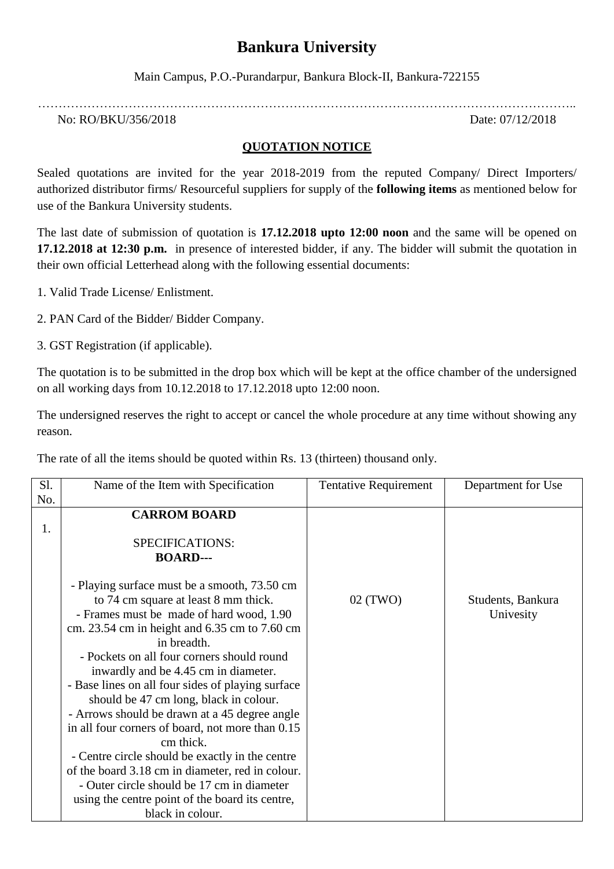## **Bankura University**

Main Campus, P.O.-Purandarpur, Bankura Block-II, Bankura-722155

…………………………………………………………………………………………………………………..

No: RO/BKU/356/2018 Date: 07/12/2018

## **QUOTATION NOTICE**

Sealed quotations are invited for the year 2018-2019 from the reputed Company/ Direct Importers/ authorized distributor firms/ Resourceful suppliers for supply of the **following items** as mentioned below for use of the Bankura University students.

The last date of submission of quotation is **17.12.2018 upto 12:00 noon** and the same will be opened on **17.12.2018 at 12:30 p.m.** in presence of interested bidder, if any. The bidder will submit the quotation in their own official Letterhead along with the following essential documents:

1. Valid Trade License/ Enlistment.

2. PAN Card of the Bidder/ Bidder Company.

3. GST Registration (if applicable).

The quotation is to be submitted in the drop box which will be kept at the office chamber of the undersigned on all working days from 10.12.2018 to 17.12.2018 upto 12:00 noon.

The undersigned reserves the right to accept or cancel the whole procedure at any time without showing any reason.

The rate of all the items should be quoted within Rs. 13 (thirteen) thousand only.

| Sl. | Name of the Item with Specification               | <b>Tentative Requirement</b> | Department for Use |
|-----|---------------------------------------------------|------------------------------|--------------------|
| No. |                                                   |                              |                    |
|     | <b>CARROM BOARD</b>                               |                              |                    |
| 1.  |                                                   |                              |                    |
|     | SPECIFICATIONS:                                   |                              |                    |
|     | <b>BOARD---</b>                                   |                              |                    |
|     |                                                   |                              |                    |
|     | - Playing surface must be a smooth, 73.50 cm      |                              |                    |
|     | to 74 cm square at least 8 mm thick.              | 02 (TWO)                     | Students, Bankura  |
|     | - Frames must be made of hard wood, 1.90          |                              | Univesity          |
|     | cm. 23.54 cm in height and 6.35 cm to 7.60 cm     |                              |                    |
|     | in breadth.                                       |                              |                    |
|     | - Pockets on all four corners should round        |                              |                    |
|     | inwardly and be 4.45 cm in diameter.              |                              |                    |
|     | - Base lines on all four sides of playing surface |                              |                    |
|     | should be 47 cm long, black in colour.            |                              |                    |
|     | - Arrows should be drawn at a 45 degree angle     |                              |                    |
|     | in all four corners of board, not more than 0.15  |                              |                    |
|     | cm thick.                                         |                              |                    |
|     | - Centre circle should be exactly in the centre   |                              |                    |
|     | of the board 3.18 cm in diameter, red in colour.  |                              |                    |
|     | - Outer circle should be 17 cm in diameter        |                              |                    |
|     | using the centre point of the board its centre,   |                              |                    |
|     | black in colour.                                  |                              |                    |